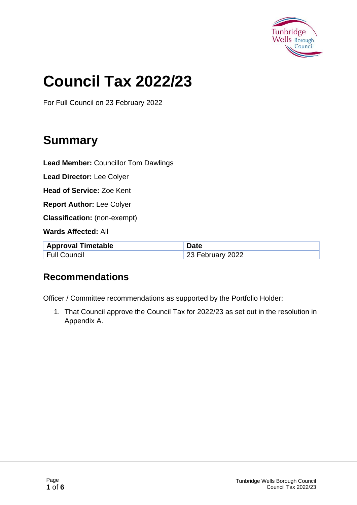

# **Council Tax 2022/23**

For Full Council on 23 February 2022

## **Summary**

**Lead Member:** Councillor Tom Dawlings

**Lead Director:** Lee Colyer

**Head of Service:** Zoe Kent

**Report Author:** Lee Colyer

**Classification:** (non-exempt)

**Wards Affected:** All

| <b>Approval Timetable</b> | <b>Date</b>      |
|---------------------------|------------------|
| <b>Full Council</b>       | 23 February 2022 |

### **Recommendations**

Officer / Committee recommendations as supported by the Portfolio Holder:

1. That Council approve the Council Tax for 2022/23 as set out in the resolution in Appendix A.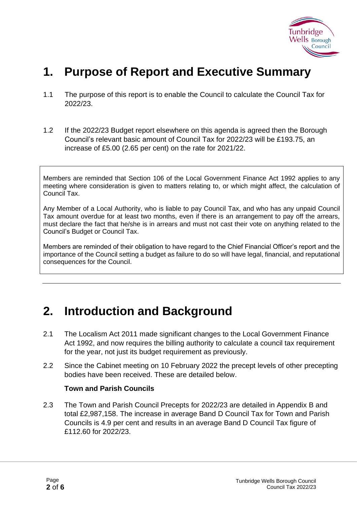

### **1. Purpose of Report and Executive Summary**

- 1.1 The purpose of this report is to enable the Council to calculate the Council Tax for 2022/23.
- 1.2 If the 2022/23 Budget report elsewhere on this agenda is agreed then the Borough Council's relevant basic amount of Council Tax for 2022/23 will be £193.75, an increase of £5.00 (2.65 per cent) on the rate for 2021/22.

Members are reminded that Section 106 of the Local Government Finance Act 1992 applies to any meeting where consideration is given to matters relating to, or which might affect, the calculation of Council Tax.

Any Member of a Local Authority, who is liable to pay Council Tax, and who has any unpaid Council Tax amount overdue for at least two months, even if there is an arrangement to pay off the arrears, must declare the fact that he/she is in arrears and must not cast their vote on anything related to the Council's Budget or Council Tax.

Members are reminded of their obligation to have regard to the Chief Financial Officer's report and the importance of the Council setting a budget as failure to do so will have legal, financial, and reputational consequences for the Council.

### **2. Introduction and Background**

- 2.1 The Localism Act 2011 made significant changes to the Local Government Finance Act 1992, and now requires the billing authority to calculate a council tax requirement for the year, not just its budget requirement as previously.
- 2.2 Since the Cabinet meeting on 10 February 2022 the precept levels of other precepting bodies have been received. These are detailed below.

#### **Town and Parish Councils**

2.3 The Town and Parish Council Precepts for 2022/23 are detailed in Appendix B and total £2,987,158. The increase in average Band D Council Tax for Town and Parish Councils is 4.9 per cent and results in an average Band D Council Tax figure of £112.60 for 2022/23.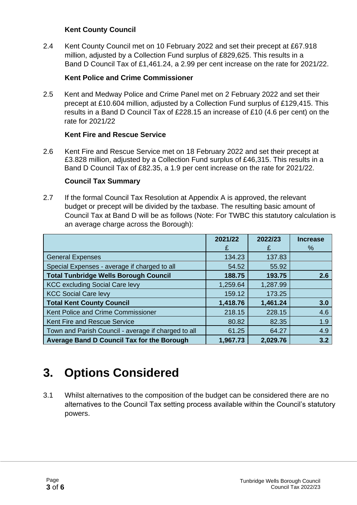#### **Kent County Council**

2.4 Kent County Council met on 10 February 2022 and set their precept at £67.918 million, adjusted by a Collection Fund surplus of £829,625. This results in a Band D Council Tax of £1,461.24, a 2.99 per cent increase on the rate for 2021/22.

#### **Kent Police and Crime Commissioner**

2.5 Kent and Medway Police and Crime Panel met on 2 February 2022 and set their precept at £10.604 million, adjusted by a Collection Fund surplus of £129,415. This results in a Band D Council Tax of £228.15 an increase of £10 (4.6 per cent) on the rate for 2021/22

#### **Kent Fire and Rescue Service**

2.6 Kent Fire and Rescue Service met on 18 February 2022 and set their precept at £3.828 million, adjusted by a Collection Fund surplus of £46,315. This results in a Band D Council Tax of £82.35, a 1.9 per cent increase on the rate for 2021/22.

#### **Council Tax Summary**

2.7 If the formal Council Tax Resolution at Appendix A is approved, the relevant budget or precept will be divided by the taxbase. The resulting basic amount of Council Tax at Band D will be as follows (Note: For TWBC this statutory calculation is an average charge across the Borough):

|                                                     | 2021/22  | 2022/23  | <b>Increase</b> |
|-----------------------------------------------------|----------|----------|-----------------|
|                                                     | £        | £        | %               |
| <b>General Expenses</b>                             | 134.23   | 137.83   |                 |
| Special Expenses - average if charged to all        | 54.52    | 55.92    |                 |
| <b>Total Tunbridge Wells Borough Council</b>        | 188.75   | 193.75   | 2.6             |
| <b>KCC excluding Social Care levy</b>               | 1,259.64 | 1,287.99 |                 |
| <b>KCC Social Care levy</b>                         | 159.12   | 173.25   |                 |
| <b>Total Kent County Council</b>                    | 1,418.76 | 1,461.24 | 3.0             |
| Kent Police and Crime Commissioner                  | 218.15   | 228.15   | 4.6             |
| Kent Fire and Rescue Service                        | 80.82    | 82.35    | 1.9             |
| Town and Parish Council - average if charged to all | 61.25    | 64.27    | 4.9             |
| <b>Average Band D Council Tax for the Borough</b>   | 1,967.73 | 2,029.76 | 3.2             |

### **3. Options Considered**

3.1 Whilst alternatives to the composition of the budget can be considered there are no alternatives to the Council Tax setting process available within the Council's statutory powers.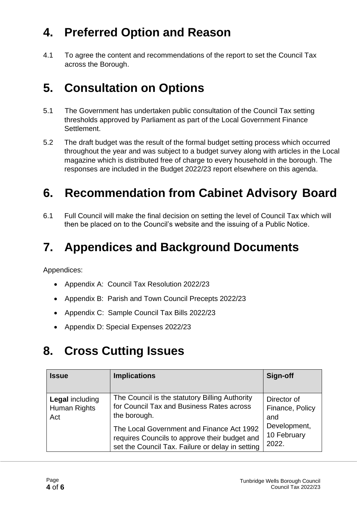## **4. Preferred Option and Reason**

4.1 To agree the content and recommendations of the report to set the Council Tax across the Borough.

### **5. Consultation on Options**

- 5.1 The Government has undertaken public consultation of the Council Tax setting thresholds approved by Parliament as part of the Local Government Finance Settlement.
- 5.2 The draft budget was the result of the formal budget setting process which occurred throughout the year and was subject to a budget survey along with articles in the Local magazine which is distributed free of charge to every household in the borough. The responses are included in the Budget 2022/23 report elsewhere on this agenda.

### **6. Recommendation from Cabinet Advisory Board**

6.1 Full Council will make the final decision on setting the level of Council Tax which will then be placed on to the Council's website and the issuing of a Public Notice.

### **7. Appendices and Background Documents**

Appendices:

- Appendix A: Council Tax Resolution 2022/23
- Appendix B: Parish and Town Council Precepts 2022/23
- Appendix C: Sample Council Tax Bills 2022/23
- Appendix D: Special Expenses 2022/23

### **8. Cross Cutting Issues**

| <b>Issue</b>                                  | <b>Implications</b>                                                                                                                            | Sign-off                                                                      |
|-----------------------------------------------|------------------------------------------------------------------------------------------------------------------------------------------------|-------------------------------------------------------------------------------|
| <b>Legal including</b><br>Human Rights<br>Act | The Council is the statutory Billing Authority<br>for Council Tax and Business Rates across<br>the borough.                                    | Director of<br>Finance, Policy<br>and<br>Development,<br>10 February<br>2022. |
|                                               | The Local Government and Finance Act 1992<br>requires Councils to approve their budget and<br>set the Council Tax. Failure or delay in setting |                                                                               |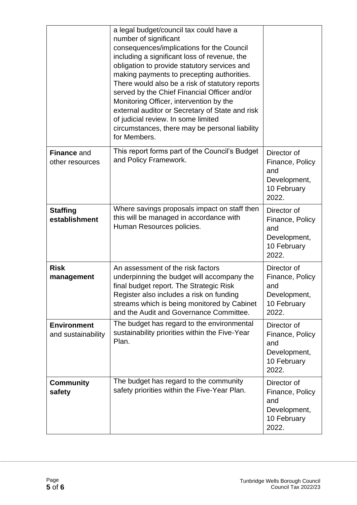|                                          | a legal budget/council tax could have a<br>number of significant<br>consequences/implications for the Council<br>including a significant loss of revenue, the<br>obligation to provide statutory services and<br>making payments to precepting authorities.<br>There would also be a risk of statutory reports<br>served by the Chief Financial Officer and/or<br>Monitoring Officer, intervention by the<br>external auditor or Secretary of State and risk<br>of judicial review. In some limited<br>circumstances, there may be personal liability<br>for Members. |                                                                               |
|------------------------------------------|-----------------------------------------------------------------------------------------------------------------------------------------------------------------------------------------------------------------------------------------------------------------------------------------------------------------------------------------------------------------------------------------------------------------------------------------------------------------------------------------------------------------------------------------------------------------------|-------------------------------------------------------------------------------|
| <b>Finance and</b><br>other resources    | This report forms part of the Council's Budget<br>and Policy Framework.                                                                                                                                                                                                                                                                                                                                                                                                                                                                                               | Director of<br>Finance, Policy<br>and<br>Development,<br>10 February<br>2022. |
| <b>Staffing</b><br>establishment         | Where savings proposals impact on staff then<br>this will be managed in accordance with<br>Human Resources policies.                                                                                                                                                                                                                                                                                                                                                                                                                                                  | Director of<br>Finance, Policy<br>and<br>Development,<br>10 February<br>2022. |
| <b>Risk</b><br>management                | An assessment of the risk factors<br>underpinning the budget will accompany the<br>final budget report. The Strategic Risk<br>Register also includes a risk on funding<br>streams which is being monitored by Cabinet<br>and the Audit and Governance Committee.                                                                                                                                                                                                                                                                                                      | Director of<br>Finance, Policy<br>and<br>Development,<br>10 February<br>2022. |
| <b>Environment</b><br>and sustainability | The budget has regard to the environmental<br>sustainability priorities within the Five-Year<br>Plan.                                                                                                                                                                                                                                                                                                                                                                                                                                                                 | Director of<br>Finance, Policy<br>and<br>Development,<br>10 February<br>2022. |
| <b>Community</b><br>safety               | The budget has regard to the community<br>safety priorities within the Five-Year Plan.                                                                                                                                                                                                                                                                                                                                                                                                                                                                                | Director of<br>Finance, Policy<br>and<br>Development,<br>10 February<br>2022. |